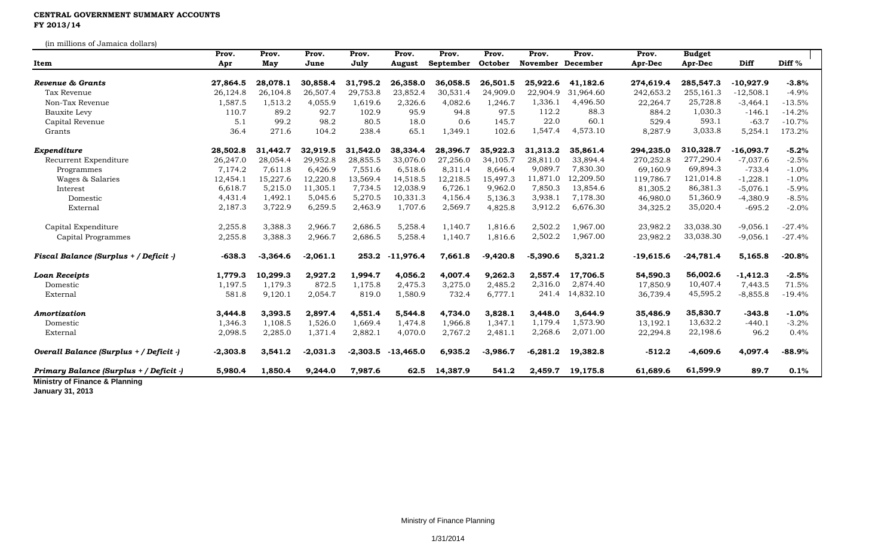## **CENTRAL GOVERNMENT SUMMARY ACCOUNTS FY 2013/14**

(in millions of Jamaica dollars)

| Item                                    | Prov.      | Prov.      | Prov.      | Prov.      | Prov.       | Prov.     | Prov.      | Prov.             | Prov.     | Prov.       | <b>Budget</b> |             |                   |
|-----------------------------------------|------------|------------|------------|------------|-------------|-----------|------------|-------------------|-----------|-------------|---------------|-------------|-------------------|
|                                         | Apr        | May        | June       | July       | August      | September | October    | November December |           | Apr-Dec     | Apr-Dec       | Diff        | Diff <sup>%</sup> |
| <b>Revenue &amp; Grants</b>             | 27,864.5   | 28,078.1   | 30,858.4   | 31,795.2   | 26,358.0    | 36,058.5  | 26,501.5   | 25,922.6          | 41,182.6  | 274,619.4   | 285,547.3     | -10,927.9   | $-3.8%$           |
| Tax Revenue                             | 26,124.8   | 26,104.8   | 26,507.4   | 29,753.8   | 23,852.4    | 30,531.4  | 24,909.0   | 22,904.9          | 31,964.60 | 242,653.2   | 255,161.3     | $-12,508.1$ | $-4.9%$           |
| Non-Tax Revenue                         | 1,587.5    | 1,513.2    | 4,055.9    | 1,619.6    | 2,326.6     | 4,082.6   | 1,246.7    | 1,336.1           | 4,496.50  | 22,264.7    | 25,728.8      | $-3,464.1$  | $-13.5%$          |
| Bauxite Levy                            | 110.7      | 89.2       | 92.7       | 102.9      | 95.9        | 94.8      | 97.5       | 112.2             | 88.3      | 884.2       | 1,030.3       | $-146.1$    | $-14.2%$          |
| Capital Revenue                         | 5.1        | 99.2       | 98.2       | 80.5       | 18.0        | 0.6       | 145.7      | 22.0              | 60.1      | 529.4       | 593.1         | $-63.7$     | $-10.7%$          |
| Grants                                  | 36.4       | 271.6      | 104.2      | 238.4      | 65.1        | 1,349.1   | 102.6      | 1,547.4           | 4,573.10  | 8,287.9     | 3,033.8       | 5,254.1     | 173.2%            |
| Expenditure                             | 28,502.8   | 31,442.7   | 32,919.5   | 31,542.0   | 38,334.4    | 28,396.7  | 35,922.3   | 31,313.2          | 35,861.4  | 294,235.0   | 310,328.7     | $-16,093.7$ | $-5.2%$           |
| Recurrent Expenditure                   | 26,247.0   | 28,054.4   | 29,952.8   | 28,855.5   | 33,076.0    | 27,256.0  | 34,105.7   | 28,811.0          | 33,894.4  | 270,252.8   | 277,290.4     | $-7,037.6$  | $-2.5%$           |
| Programmes                              | 7,174.2    | 7,611.8    | 6,426.9    | 7,551.6    | 6,518.6     | 8,311.4   | 8,646.4    | 9,089.7           | 7,830.30  | 69,160.9    | 69,894.3      | $-733.4$    | $-1.0%$           |
| Wages & Salaries                        | 12,454.1   | 15,227.6   | 12,220.8   | 13,569.4   | 14,518.5    | 12,218.5  | 15,497.3   | 11,871.0          | 12,209.50 | 119,786.7   | 121,014.8     | $-1,228.1$  | $-1.0%$           |
| Interest                                | 6,618.7    | 5,215.0    | 11,305.1   | 7,734.5    | 12,038.9    | 6,726.1   | 9,962.0    | 7,850.3           | 13,854.6  | 81,305.2    | 86,381.3      | $-5,076.1$  | $-5.9%$           |
| Domestic                                | 4,431.4    | 1,492.1    | 5,045.6    | 5,270.5    | 10,331.3    | 4,156.4   | 5,136.3    | 3,938.1           | 7,178.30  | 46,980.0    | 51,360.9      | $-4,380.9$  | $-8.5%$           |
| External                                | 2,187.3    | 3,722.9    | 6,259.5    | 2,463.9    | 1,707.6     | 2,569.7   | 4,825.8    | 3,912.2           | 6,676.30  | 34,325.2    | 35,020.4      | $-695.2$    | $-2.0%$           |
| Capital Expenditure                     | 2,255.8    | 3,388.3    | 2,966.7    | 2,686.5    | 5,258.4     | 1,140.7   | 1,816.6    | 2,502.2           | 1,967.00  | 23,982.2    | 33,038.30     | $-9,056.1$  | $-27.4%$          |
| Capital Programmes                      | 2,255.8    | 3,388.3    | 2,966.7    | 2,686.5    | 5,258.4     | 1,140.7   | 1,816.6    | 2,502.2           | 1,967.00  | 23,982.2    | 33,038.30     | $-9,056.1$  | $-27.4%$          |
| Fiscal Balance (Surplus + / Deficit -)  | $-638.3$   | $-3,364.6$ | $-2,061.1$ | 253.2      | $-11,976.4$ | 7,661.8   | $-9,420.8$ | $-5,390.6$        | 5,321.2   | $-19,615.6$ | $-24,781.4$   | 5,165.8     | $-20.8%$          |
| <b>Loan Receipts</b>                    | 1,779.3    | 10,299.3   | 2,927.2    | 1,994.7    | 4,056.2     | 4,007.4   | 9,262.3    | 2,557.4           | 17,706.5  | 54,590.3    | 56,002.6      | $-1,412.3$  | $-2.5%$           |
| Domestic                                | 1,197.5    | 1,179.3    | 872.5      | 1,175.8    | 2,475.3     | 3,275.0   | 2,485.2    | 2,316.0           | 2,874.40  | 17,850.9    | 10,407.4      | 7,443.5     | 71.5%             |
| External                                | 581.8      | 9,120.1    | 2,054.7    | 819.0      | 1,580.9     | 732.4     | 6,777.1    | 241.4             | 14,832.10 | 36,739.4    | 45,595.2      | $-8,855.8$  | $-19.4%$          |
| Amortization                            | 3,444.8    | 3,393.5    | 2,897.4    | 4,551.4    | 5,544.8     | 4,734.0   | 3,828.1    | 3,448.0           | 3,644.9   | 35,486.9    | 35,830.7      | $-343.8$    | $-1.0%$           |
| Domestic                                | 1,346.3    | 1,108.5    | 1,526.0    | 1,669.4    | 1,474.8     | 1,966.8   | 1,347.1    | 1,179.4           | 1,573.90  | 13,192.1    | 13,632.2      | $-440.1$    | $-3.2%$           |
| External                                | 2,098.5    | 2,285.0    | 1,371.4    | 2,882.1    | 4,070.0     | 2,767.2   | 2,481.1    | 2,268.6           | 2,071.00  | 22,294.8    | 22,198.6      | 96.2        | 0.4%              |
| Overall Balance (Surplus + / Deficit -) | $-2,303.8$ | 3,541.2    | $-2,031.3$ | $-2,303.5$ | $-13,465.0$ | 6,935.2   | $-3,986.7$ | $-6,281.2$        | 19,382.8  | $-512.2$    | $-4,609.6$    | 4,097.4     | $-88.9%$          |
| Primary Balance (Surplus + / Deficit -) | 5,980.4    | 1,850.4    | 9,244.0    | 7,987.6    | 62.5        | 14,387.9  | 541.2      | 2,459.7           | 19,175.8  | 61,689.6    | 61,599.9      | 89.7        | 0.1%              |

**January 31, 2013**